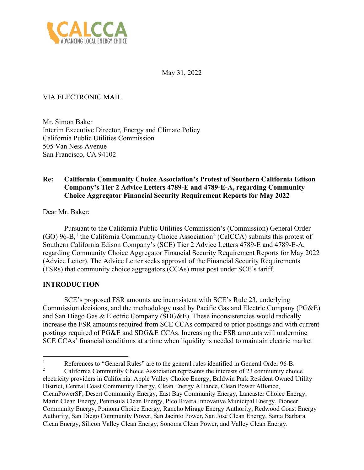

May 31, 2022

# VIA ELECTRONIC MAIL

Mr. Simon Baker Interim Executive Director, Energy and Climate Policy California Public Utilities Commission 505 Van Ness Avenue San Francisco, CA 94102

## **Re: California Community Choice Association's Protest of Southern California Edison Company's Tier 2 Advice Letters 4789-E and 4789-E-A, regarding Community Choice Aggregator Financial Security Requirement Reports for May 2022**

Dear Mr. Baker:

Pursuant to the California Public Utilities Commission's (Commission) General Order  $(GO)$  96-B,<sup>[1](#page-0-0)</sup> the California Community Choice Association<sup>[2](#page-0-1)</sup> (CalCCA) submits this protest of Southern California Edison Company's (SCE) Tier 2 Advice Letters 4789-E and 4789-E-A, regarding Community Choice Aggregator Financial Security Requirement Reports for May 2022 (Advice Letter). The Advice Letter seeks approval of the Financial Security Requirements (FSRs) that community choice aggregators (CCAs) must post under SCE's tariff.

## **INTRODUCTION**

SCE's proposed FSR amounts are inconsistent with SCE's Rule 23, underlying Commission decisions, and the methodology used by Pacific Gas and Electric Company (PG&E) and San Diego Gas & Electric Company (SDG&E). These inconsistencies would radically increase the FSR amounts required from SCE CCAs compared to prior postings and with current postings required of PG&E and SDG&E CCAs. Increasing the FSR amounts will undermine SCE CCAs' financial conditions at a time when liquidity is needed to maintain electric market

<span id="page-0-1"></span><span id="page-0-0"></span><sup>1</sup> References to "General Rules" are to the general rules identified in General Order 96-B. 2 California Community Choice Association represents the interests of 23 community choice electricity providers in California: Apple Valley Choice Energy, Baldwin Park Resident Owned Utility District, Central Coast Community Energy, Clean Energy Alliance, Clean Power Alliance, CleanPowerSF, Desert Community Energy, East Bay Community Energy, Lancaster Choice Energy, Marin Clean Energy, Peninsula Clean Energy, Pico Rivera Innovative Municipal Energy, Pioneer Community Energy, Pomona Choice Energy, Rancho Mirage Energy Authority, Redwood Coast Energy Authority, San Diego Community Power, San Jacinto Power, San José Clean Energy, Santa Barbara Clean Energy, Silicon Valley Clean Energy, Sonoma Clean Power, and Valley Clean Energy.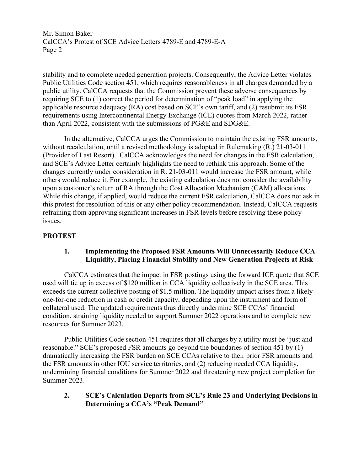stability and to complete needed generation projects. Consequently, the Advice Letter violates Public Utilities Code section 451, which requires reasonableness in all charges demanded by a public utility. CalCCA requests that the Commission prevent these adverse consequences by requiring SCE to (1) correct the period for determination of "peak load" in applying the applicable resource adequacy (RA) cost based on SCE's own tariff, and (2) resubmit its FSR requirements using Intercontinental Energy Exchange (ICE) quotes from March 2022, rather than April 2022, consistent with the submissions of PG&E and SDG&E.

In the alternative, CalCCA urges the Commission to maintain the existing FSR amounts, without recalculation, until a revised methodology is adopted in Rulemaking (R.) 21-03-011 (Provider of Last Resort). CalCCA acknowledges the need for changes in the FSR calculation, and SCE's Advice Letter certainly highlights the need to rethink this approach. Some of the changes currently under consideration in R. 21-03-011 would increase the FSR amount, while others would reduce it. For example, the existing calculation does not consider the availability upon a customer's return of RA through the Cost Allocation Mechanism (CAM) allocations. While this change, if applied, would reduce the current FSR calculation, CalCCA does not ask in this protest for resolution of this or any other policy recommendation. Instead, CalCCA requests refraining from approving significant increases in FSR levels before resolving these policy issues.

## **PROTEST**

### **1. Implementing the Proposed FSR Amounts Will Unnecessarily Reduce CCA Liquidity, Placing Financial Stability and New Generation Projects at Risk**

CalCCA estimates that the impact in FSR postings using the forward ICE quote that SCE used will tie up in excess of \$120 million in CCA liquidity collectively in the SCE area. This exceeds the current collective posting of \$1.5 million. The liquidity impact arises from a likely one-for-one reduction in cash or credit capacity, depending upon the instrument and form of collateral used. The updated requirements thus directly undermine SCE CCAs' financial condition, straining liquidity needed to support Summer 2022 operations and to complete new resources for Summer 2023.

Public Utilities Code section 451 requires that all charges by a utility must be "just and reasonable." SCE's proposed FSR amounts go beyond the boundaries of section 451 by (1) dramatically increasing the FSR burden on SCE CCAs relative to their prior FSR amounts and the FSR amounts in other IOU service territories, and (2) reducing needed CCA liquidity, undermining financial conditions for Summer 2022 and threatening new project completion for Summer 2023.

### **2. SCE's Calculation Departs from SCE's Rule 23 and Underlying Decisions in Determining a CCA's "Peak Demand"**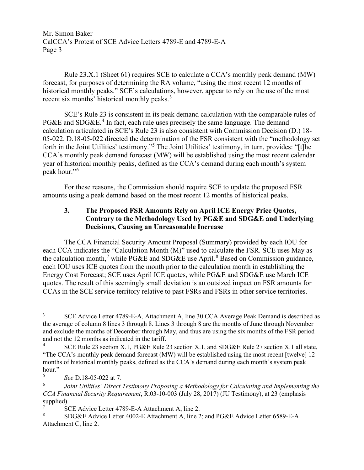Rule 23.X.1 (Sheet 61) requires SCE to calculate a CCA's monthly peak demand (MW) forecast, for purposes of determining the RA volume, "using the most recent 12 months of historical monthly peaks." SCE's calculations, however, appear to rely on the use of the most recent six months' historical monthly peaks.<sup>[3](#page-2-0)</sup>

SCE's Rule 23 is consistent in its peak demand calculation with the comparable rules of PG&E and SDG&E.<sup>[4](#page-2-1)</sup> In fact, each rule uses precisely the same language. The demand calculation articulated in SCE's Rule 23 is also consistent with Commission Decision (D.) 18- 05-022. D.18-05-022 directed the determination of the FSR consistent with the "methodology set forth in the Joint Utilities' testimony."[5](#page-2-2) The Joint Utilities' testimony, in turn, provides: "[t]he CCA's monthly peak demand forecast (MW) will be established using the most recent calendar year of historical monthly peaks, defined as the CCA's demand during each month's system peak hour."[6](#page-2-3)

For these reasons, the Commission should require SCE to update the proposed FSR amounts using a peak demand based on the most recent 12 months of historical peaks.

## **3. The Proposed FSR Amounts Rely on April ICE Energy Price Quotes, Contrary to the Methodology Used by PG&E and SDG&E and Underlying Decisions, Causing an Unreasonable Increase**

The CCA Financial Security Amount Proposal (Summary) provided by each IOU for each CCA indicates the "Calculation Month (M)" used to calculate the FSR. SCE uses May as the calculation month,<sup>[7](#page-2-4)</sup> while PG&E and SDG&E use April.<sup>[8](#page-2-5)</sup> Based on Commission guidance, each IOU uses ICE quotes from the month prior to the calculation month in establishing the Energy Cost Forecast; SCE uses April ICE quotes, while PG&E and SDG&E use March ICE quotes. The result of this seemingly small deviation is an outsized impact on FSR amounts for CCAs in the SCE service territory relative to past FSRs and FSRs in other service territories.

<span id="page-2-0"></span><sup>3</sup> SCE Advice Letter 4789-E-A, Attachment A, line 30 CCA Average Peak Demand is described as the average of column 8 lines 3 through 8. Lines 3 through 8 are the months of June through November and exclude the months of December through May, and thus are using the six months of the FSR period and not the 12 months as indicated in the tariff. 4

<span id="page-2-1"></span>SCE Rule 23 section X.1, PG&E Rule 23 section X.1, and SDG&E Rule 27 section X.1 all state, "The CCA's monthly peak demand forecast (MW) will be established using the most recent [twelve] 12 months of historical monthly peaks, defined as the CCA's demand during each month's system peak hour." 5

*See* D.18-05-022 at 7.

<span id="page-2-3"></span><span id="page-2-2"></span><sup>6</sup> *Joint Utilities' Direct Testimony Proposing a Methodology for Calculating and Implementing the CCA Financial Security Requirement*, R.03-10-003 (July 28, 2017) (JU Testimony), at 23 (emphasis supplied).

<span id="page-2-4"></span><sup>7</sup> SCE Advice Letter 4789-E-A Attachment A, line 2.

<span id="page-2-5"></span>SDG&E Advice Letter 4002-E Attachment A, line 2; and PG&E Advice Letter 6589-E-A Attachment C, line 2.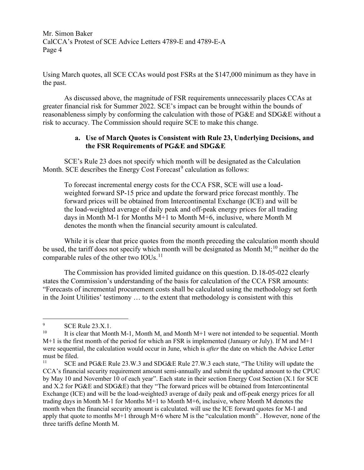Using March quotes, all SCE CCAs would post FSRs at the \$147,000 minimum as they have in the past.

As discussed above, the magnitude of FSR requirements unnecessarily places CCAs at greater financial risk for Summer 2022. SCE's impact can be brought within the bounds of reasonableness simply by conforming the calculation with those of PG&E and SDG&E without a risk to accuracy. The Commission should require SCE to make this change.

#### **a. Use of March Quotes is Consistent with Rule 23, Underlying Decisions, and the FSR Requirements of PG&E and SDG&E**

SCE's Rule 23 does not specify which month will be designated as the Calculation Month. SCE describes the Energy Cost Forecast<sup>[9](#page-3-0)</sup> calculation as follows:

To forecast incremental energy costs for the CCA FSR, SCE will use a loadweighted forward SP-15 price and update the forward price forecast monthly. The forward prices will be obtained from Intercontinental Exchange (ICE) and will be the load-weighted average of daily peak and off-peak energy prices for all trading days in Month M-1 for Months M+1 to Month M+6, inclusive, where Month M denotes the month when the financial security amount is calculated.

While it is clear that price quotes from the month preceding the calculation month should be used, the tariff does not specify which month will be designated as Month  $M$ ;<sup>[10](#page-3-1)</sup> neither do the comparable rules of the other two IOUs.<sup>[11](#page-3-2)</sup>

The Commission has provided limited guidance on this question. D.18-05-022 clearly states the Commission's understanding of the basis for calculation of the CCA FSR amounts: "Forecasts of incremental procurement costs shall be calculated using the methodology set forth in the Joint Utilities' testimony … to the extent that methodology is consistent with this

<span id="page-3-0"></span><sup>9</sup>  $\begin{array}{cc}\n\text{SCE Rule 23.X.1.} \\
\text{It is clear that Mor}\n\end{array}$ 

<span id="page-3-1"></span>It is clear that Month M-1, Month M, and Month  $M+1$  were not intended to be sequential. Month  $M+1$  is the first month of the period for which an FSR is implemented (January or July). If M and  $M+1$ were sequential, the calculation would occur in June, which is *after* the date on which the Advice Letter must be filed.

<span id="page-3-2"></span>SCE and PG&E Rule 23.W.3 and SDG&E Rule 27.W.3 each state, "The Utility will update the CCA's financial security requirement amount semi-annually and submit the updated amount to the CPUC by May 10 and November 10 of each year". Each state in their section Energy Cost Section (X.1 for SCE and X.2 for PG&E and SDG&E) that they "The forward prices will be obtained from Intercontinental Exchange (ICE) and will be the load-weighted3 average of daily peak and off-peak energy prices for all trading days in Month M-1 for Months M+1 to Month M+6, inclusive, where Month M denotes the month when the financial security amount is calculated. will use the ICE forward quotes for M-1 and apply that quote to months  $M+1$  through  $M+6$  where M is the "calculation month". However, none of the three tariffs define Month M.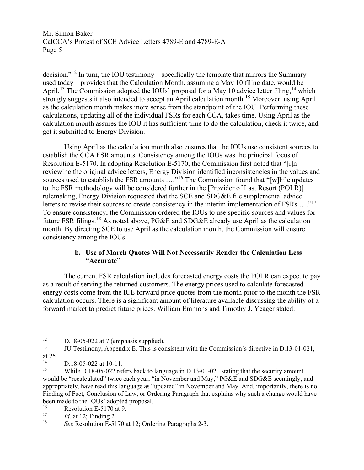decision."[12](#page-4-0) In turn, the IOU testimony – specifically the template that mirrors the Summary used today – provides that the Calculation Month, assuming a May 10 filing date, would be April.<sup>[13](#page-4-1)</sup> The Commission adopted the IOUs' proposal for a May 10 advice letter filing, <sup>[14](#page-4-2)</sup> which strongly suggests it also intended to accept an April calculation month.<sup>15</sup> Moreover, using April as the calculation month makes more sense from the standpoint of the IOU. Performing these calculations, updating all of the individual FSRs for each CCA, takes time. Using April as the calculation month assures the IOU it has sufficient time to do the calculation, check it twice, and get it submitted to Energy Division.

Using April as the calculation month also ensures that the IOUs use consistent sources to establish the CCA FSR amounts. Consistency among the IOUs was the principal focus of Resolution E-5170. In adopting Resolution E-5170, the Commission first noted that "[i]n reviewing the original advice letters, Energy Division identified inconsistencies in the values and sources used to establish the FSR amounts ...."<sup>[16](#page-4-4)</sup> The Commission found that "[w]hile updates to the FSR methodology will be considered further in the [Provider of Last Resort (POLR)] rulemaking, Energy Division requested that the SCE and SDG&E file supplemental advice letters to revise their sources to create consistency in the interim implementation of FSRs ...."<sup>[17](#page-4-5)</sup> To ensure consistency, the Commission ordered the IOUs to use specific sources and values for future FSR filings.<sup>[18](#page-4-6)</sup> As noted above, PG&E and SDG&E already use April as the calculation month. By directing SCE to use April as the calculation month, the Commission will ensure consistency among the IOUs.

## **b. Use of March Quotes Will Not Necessarily Render the Calculation Less "Accurate"**

The current FSR calculation includes forecasted energy costs the POLR can expect to pay as a result of serving the returned customers. The energy prices used to calculate forecasted energy costs come from the ICE forward price quotes from the month prior to the month the FSR calculation occurs. There is a significant amount of literature available discussing the ability of a forward market to predict future prices. William Emmons and Timothy J. Yeager stated:

<span id="page-4-1"></span>13 JU Testimony, Appendix E. This is consistent with the Commission's directive in D.13-01-021, at 25.

<span id="page-4-0"></span><sup>&</sup>lt;sup>12</sup> D.18-05-022 at 7 (emphasis supplied).<br><sup>13</sup> HIT Testimony Appendix F This is con

<span id="page-4-2"></span> $14$  D.18-05-022 at 10-11.<br>
While D.18-05-022 ref

<span id="page-4-3"></span>While D.18-05-022 refers back to language in D.13-01-021 stating that the security amount would be "recalculated" twice each year, "in November and May," PG&E and SDG&E seemingly, and appropriately, have read this language as "updated" in November and May. And, importantly, there is no Finding of Fact, Conclusion of Law, or Ordering Paragraph that explains why such a change would have been made to the IOUs' adopted proposal.<br>
<sup>16</sup> Resolution E-5170 at 9.<br>
<sup>17</sup> *Id* at 12: Finding 2

<span id="page-4-4"></span>

<span id="page-4-6"></span><span id="page-4-5"></span><sup>&</sup>lt;sup>17</sup> *Id.* at 12; Finding 2.<br><sup>18</sup> See Resolution E. 51.

See Resolution E-5170 at 12; Ordering Paragraphs 2-3.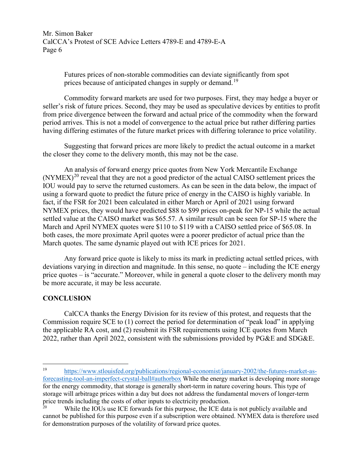> Futures prices of non-storable commodities can deviate significantly from spot prices because of anticipated changes in supply or demand.<sup>19</sup>

Commodity forward markets are used for two purposes. First, they may hedge a buyer or seller's risk of future prices. Second, they may be used as speculative devices by entities to profit from price divergence between the forward and actual price of the commodity when the forward period arrives. This is not a model of convergence to the actual price but rather differing parties having differing estimates of the future market prices with differing tolerance to price volatility.

Suggesting that forward prices are more likely to predict the actual outcome in a market the closer they come to the delivery month, this may not be the case.

An analysis of forward energy price quotes from New York Mercantile Exchange  $(NYMEX)^{20}$  $(NYMEX)^{20}$  $(NYMEX)^{20}$  reveal that they are not a good predictor of the actual CAISO settlement prices the IOU would pay to serve the returned customers. As can be seen in the data below, the impact of using a forward quote to predict the future price of energy in the CAISO is highly variable. In fact, if the FSR for 2021 been calculated in either March or April of 2021 using forward NYMEX prices, they would have predicted \$88 to \$99 prices on-peak for NP-15 while the actual settled value at the CAISO market was \$65.57. A similar result can be seen for SP-15 where the March and April NYMEX quotes were \$110 to \$119 with a CAISO settled price of \$65.08. In both cases, the more proximate April quotes were a poorer predictor of actual price than the March quotes. The same dynamic played out with ICE prices for 2021.

Any forward price quote is likely to miss its mark in predicting actual settled prices, with deviations varying in direction and magnitude. In this sense, no quote – including the ICE energy price quotes – is "accurate." Moreover, while in general a quote closer to the delivery month may be more accurate, it may be less accurate.

## **CONCLUSION**

CalCCA thanks the Energy Division for its review of this protest, and requests that the Commission require SCE to (1) correct the period for determination of "peak load" in applying the applicable RA cost, and (2) resubmit its FSR requirements using ICE quotes from March 2022, rather than April 2022, consistent with the submissions provided by PG&E and SDG&E.

<span id="page-5-0"></span><sup>19</sup> [https://www.stlouisfed.org/publications/regional-economist/january-2002/the-futures-market-as](https://www.stlouisfed.org/publications/regional-economist/january-2002/the-futures-market-as-forecasting-tool-an-imperfect-crystal-ball#authorbox)[forecasting-tool-an-imperfect-crystal-ball#authorbox](https://www.stlouisfed.org/publications/regional-economist/january-2002/the-futures-market-as-forecasting-tool-an-imperfect-crystal-ball#authorbox) While the energy market is developing more storage for the energy commodity, that storage is generally short-term in nature covering hours. This type of storage will arbitrage prices within a day but does not address the fundamental movers of longer-term price trends including the costs of other inputs to electricity production.

<span id="page-5-1"></span>While the IOUs use ICE forwards for this purpose, the ICE data is not publicly available and cannot be published for this purpose even if a subscription were obtained. NYMEX data is therefore used for demonstration purposes of the volatility of forward price quotes.